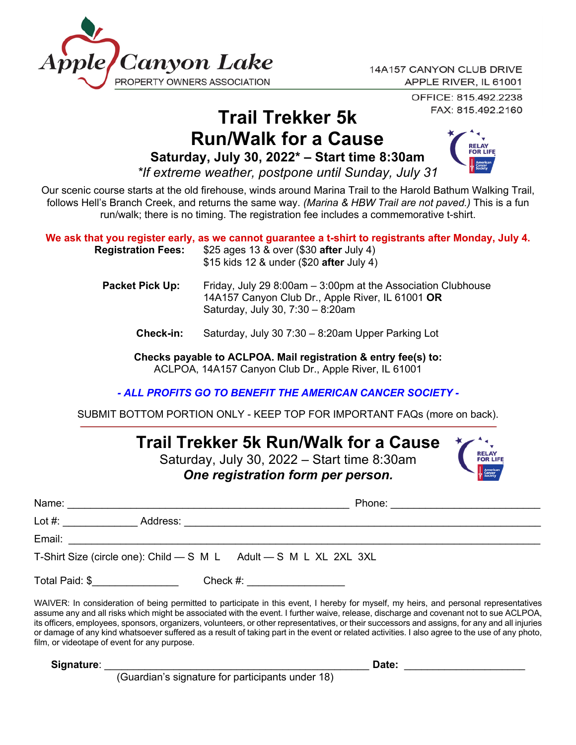

OFFICE: 815.492.2238 FAX: 815.492.2160

## **Trail Trekker 5k Run/Walk for a Cause**

**Saturday, July 30, 2022\* – Start time 8:30am**



*\*If extreme weather, postpone until Sunday, July 31*

Our scenic course starts at the old firehouse, winds around Marina Trail to the Harold Bathum Walking Trail, follows Hell's Branch Creek, and returns the same way. *(Marina & HBW Trail are not paved.)* This is a fun run/walk; there is no timing. The registration fee includes a commemorative t-shirt.

| <b>Registration Fees:</b> | We ask that you register early, as we cannot guarantee a t-shirt to registrants after Monday, July 4.<br>\$25 ages 13 & over (\$30 after July 4)<br>\$15 kids 12 & under (\$20 after July 4) |
|---------------------------|----------------------------------------------------------------------------------------------------------------------------------------------------------------------------------------------|
| <b>Packet Pick Up:</b>    | Friday, July 29 8:00am $-$ 3:00pm at the Association Clubhouse<br>14A157 Canyon Club Dr., Apple River, IL 61001 OR<br>Saturday, July 30, 7:30 - 8:20am                                       |
| <b>Check-in:</b>          | Saturday, July 30 7:30 - 8:20am Upper Parking Lot                                                                                                                                            |
|                           | Checks payable to ACLPOA. Mail registration & entry fee(s) to:                                                                                                                               |

ACLPOA, 14A157 Canyon Club Dr., Apple River, IL 61001

*- ALL PROFITS GO TO BENEFIT THE AMERICAN CANCER SOCIETY -*

SUBMIT BOTTOM PORTION ONLY - KEEP TOP FOR IMPORTANT FAQs (more on back).

## **Trail Trekker 5k Run/Walk for a Cause**

Saturday, July 30, 2022 – Start time 8:30am *One registration form per person.* 

|                |  | T-Shirt Size (circle one): Child - S M L Adult - S M L XL 2XL 3XL |                                                                                                                                      |
|----------------|--|-------------------------------------------------------------------|--------------------------------------------------------------------------------------------------------------------------------------|
| Total Paid: \$ |  | Check #: __________________                                       |                                                                                                                                      |
|                |  |                                                                   | WAIVER: In consideration of boing permitted to participate in this event. I bereby for myself my boirs, and personal representatives |

WAIVER: In consideration of being permitted to participate in this event, I hereby for myself, my heirs, and personal representatives assume any and all risks which might be associated with the event. I further waive, release, discharge and covenant not to sue ACLPOA, its officers, employees, sponsors, organizers, volunteers, or other representatives, or their successors and assigns, for any and all injuries or damage of any kind whatsoever suffered as a result of taking part in the event or related activities. I also agree to the use of any photo, film, or videotape of event for any purpose.

**Signature**: \_\_\_\_\_\_\_\_\_\_\_\_\_\_\_\_\_\_\_\_\_\_\_\_\_\_\_\_\_\_\_\_\_\_\_\_\_\_\_\_\_\_\_\_\_\_ **Date:** \_\_\_\_\_\_\_\_\_\_\_\_\_\_\_\_\_\_\_\_\_

(Guardian's signature for participants under 18)